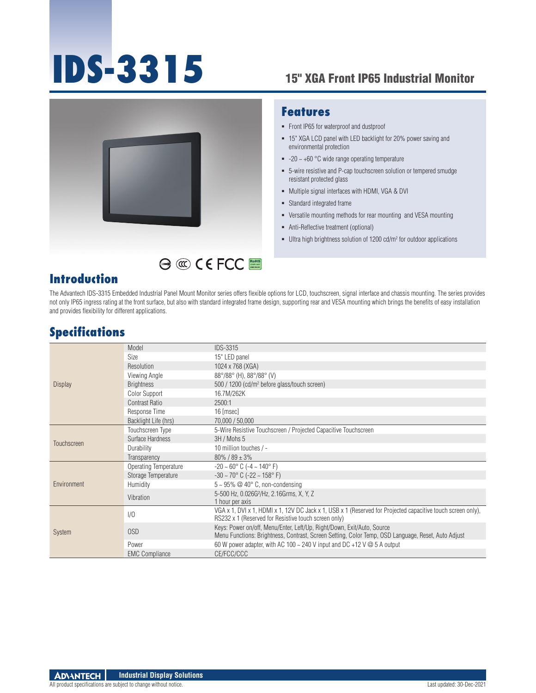# **IDS-3315** 15" XGA Front IP65 Industrial Monitor



#### **Features**

- Front IP65 for waterproof and dustproof
- 15" XGA LCD panel with LED backlight for 20% power saving and environmental protection
- $-20 \sim +60$  °C wide range operating temperature
- 5-wire resistive and P-cap touchscreen solution or tempered smudge resistant protected glass
- Multiple signal interfaces with HDMI, VGA & DVI
- **Standard integrated frame**
- Versatile mounting methods for rear mounting and VESA mounting
- Anti-Reflective treatment (optional)
- $\blacksquare$  Ultra high brightness solution of 1200 cd/m<sup>2</sup> for outdoor applications

#### **Introduction**

The Advantech IDS-3315 Embedded Industrial Panel Mount Monitor series offers flexible options for LCD, touchscreen, signal interface and chassis mounting. The series provides not only IP65 ingress rating at the front surface, but also with standard integrated frame design, supporting rear and VESA mounting which brings the benefits of easy installation and provides flexibility for different applications.

RoHS **COMPLIANT 2002/95/EC**

#### **Specifications**

| <b>Display</b> | Model                        | <b>IDS-3315</b>                                                                                                                                                              |  |
|----------------|------------------------------|------------------------------------------------------------------------------------------------------------------------------------------------------------------------------|--|
|                | Size                         | 15" LED panel                                                                                                                                                                |  |
|                | Resolution                   | 1024 x 768 (XGA)                                                                                                                                                             |  |
|                | Viewing Angle                | $88^{\circ}/88^{\circ}$ (H), $88^{\circ}/88^{\circ}$ (V)                                                                                                                     |  |
|                | <b>Brightness</b>            | 500 / 1200 (cd/m <sup>2</sup> before glass/touch screen)                                                                                                                     |  |
|                | <b>Color Support</b>         | 16.7M/262K                                                                                                                                                                   |  |
|                | Contrast Ratio               | 2500:1                                                                                                                                                                       |  |
|                | Response Time                | 16 [msec]                                                                                                                                                                    |  |
|                | Backlight Life (hrs)         | 70.000 / 50.000                                                                                                                                                              |  |
| Touchscreen    | Touchscreen Type             | 5-Wire Resistive Touchscreen / Projected Capacitive Touchscreen                                                                                                              |  |
|                | Surface Hardness             | 3H / Mohs 5                                                                                                                                                                  |  |
|                | Durability                   | 10 million touches / -                                                                                                                                                       |  |
|                | Transparency                 | $80\%$ / 89 $\pm$ 3%                                                                                                                                                         |  |
| Environment    | <b>Operating Temperature</b> | $-20 \sim 60^{\circ}$ C ( $-4 \sim 140^{\circ}$ F)                                                                                                                           |  |
|                | Storage Temperature          | $-30 \sim 70^{\circ}$ C ( $-22 \sim 158^{\circ}$ F)                                                                                                                          |  |
|                | Humidity                     | $5 \sim 95\%$ @ 40° C, non-condensing                                                                                                                                        |  |
|                | Vibration                    | 5-500 Hz, 0.026G <sup>2</sup> /Hz, 2.16Grms, X, Y, Z                                                                                                                         |  |
|                |                              | 1 hour per axis                                                                                                                                                              |  |
| <b>System</b>  | 1/0                          | VGA x 1, DVI x 1, HDMI x 1, 12V DC Jack x 1, USB x 1 (Reserved for Projected capacitive touch screen only),<br>RS232 x 1 (Reserved for Resistive touch screen only)          |  |
|                |                              |                                                                                                                                                                              |  |
|                | 0SD                          | Keys: Power on/off, Menu/Enter, Left/Up, Right/Down, Exit/Auto, Source<br>Menu Functions: Brightness, Contrast, Screen Setting, Color Temp, OSD Language, Reset, Auto Adjust |  |
|                | Power                        | 60 W power adapter, with AC 100 $\sim$ 240 V input and DC +12 V $\omega$ 5 A output                                                                                          |  |
|                | <b>EMC Compliance</b>        | CE/FCC/CCC                                                                                                                                                                   |  |